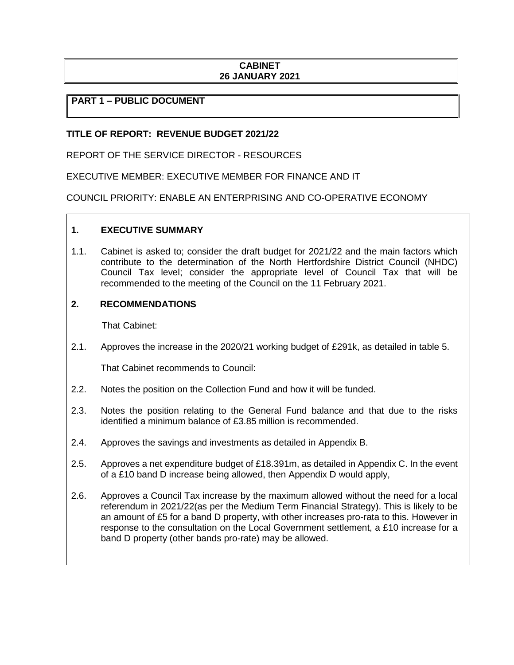### **CABINET 26 JANUARY 2021**

### **PART 1 – PUBLIC DOCUMENT**

# **TITLE OF REPORT: REVENUE BUDGET 2021/22**

REPORT OF THE SERVICE DIRECTOR - RESOURCES

EXECUTIVE MEMBER: EXECUTIVE MEMBER FOR FINANCE AND IT

COUNCIL PRIORITY: ENABLE AN ENTERPRISING AND CO-OPERATIVE ECONOMY

### **1. EXECUTIVE SUMMARY**

1.1. Cabinet is asked to; consider the draft budget for 2021/22 and the main factors which contribute to the determination of the North Hertfordshire District Council (NHDC) Council Tax level; consider the appropriate level of Council Tax that will be recommended to the meeting of the Council on the 11 February 2021.

### **2. RECOMMENDATIONS**

That Cabinet:

2.1. Approves the increase in the 2020/21 working budget of £291k, as detailed in table 5.

That Cabinet recommends to Council:

- 2.2. Notes the position on the Collection Fund and how it will be funded.
- 2.3. Notes the position relating to the General Fund balance and that due to the risks identified a minimum balance of £3.85 million is recommended.
- 2.4. Approves the savings and investments as detailed in Appendix B.
- 2.5. Approves a net expenditure budget of £18.391m, as detailed in Appendix C. In the event of a £10 band D increase being allowed, then Appendix D would apply,
- 2.6. Approves a Council Tax increase by the maximum allowed without the need for a local referendum in 2021/22(as per the Medium Term Financial Strategy). This is likely to be an amount of £5 for a band D property, with other increases pro-rata to this. However in response to the consultation on the Local Government settlement, a £10 increase for a band D property (other bands pro-rate) may be allowed.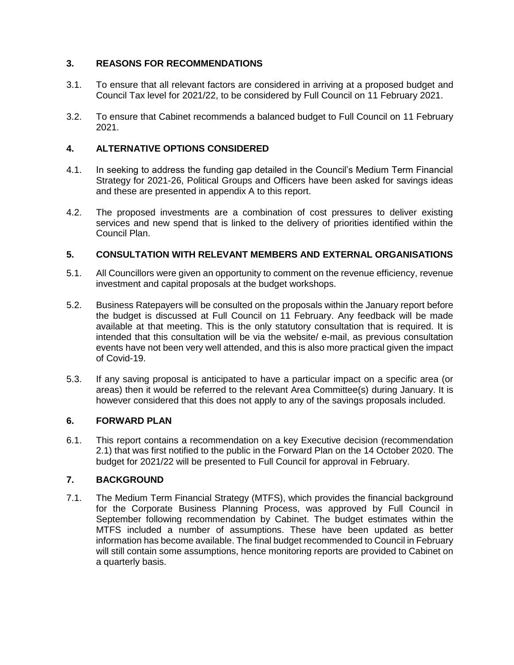# **3. REASONS FOR RECOMMENDATIONS**

- 3.1. To ensure that all relevant factors are considered in arriving at a proposed budget and Council Tax level for 2021/22, to be considered by Full Council on 11 February 2021.
- 3.2. To ensure that Cabinet recommends a balanced budget to Full Council on 11 February 2021.

# **4. ALTERNATIVE OPTIONS CONSIDERED**

- 4.1. In seeking to address the funding gap detailed in the Council's Medium Term Financial Strategy for 2021-26, Political Groups and Officers have been asked for savings ideas and these are presented in appendix A to this report.
- 4.2. The proposed investments are a combination of cost pressures to deliver existing services and new spend that is linked to the delivery of priorities identified within the Council Plan.

# **5. CONSULTATION WITH RELEVANT MEMBERS AND EXTERNAL ORGANISATIONS**

- 5.1. All Councillors were given an opportunity to comment on the revenue efficiency, revenue investment and capital proposals at the budget workshops.
- 5.2. Business Ratepayers will be consulted on the proposals within the January report before the budget is discussed at Full Council on 11 February. Any feedback will be made available at that meeting. This is the only statutory consultation that is required. It is intended that this consultation will be via the website/ e-mail, as previous consultation events have not been very well attended, and this is also more practical given the impact of Covid-19.
- 5.3. If any saving proposal is anticipated to have a particular impact on a specific area (or areas) then it would be referred to the relevant Area Committee(s) during January. It is however considered that this does not apply to any of the savings proposals included.

# **6. FORWARD PLAN**

6.1. This report contains a recommendation on a key Executive decision (recommendation 2.1) that was first notified to the public in the Forward Plan on the 14 October 2020. The budget for 2021/22 will be presented to Full Council for approval in February.

# **7. BACKGROUND**

7.1. The Medium Term Financial Strategy (MTFS), which provides the financial background for the Corporate Business Planning Process, was approved by Full Council in September following recommendation by Cabinet. The budget estimates within the MTFS included a number of assumptions. These have been updated as better information has become available. The final budget recommended to Council in February will still contain some assumptions, hence monitoring reports are provided to Cabinet on a quarterly basis.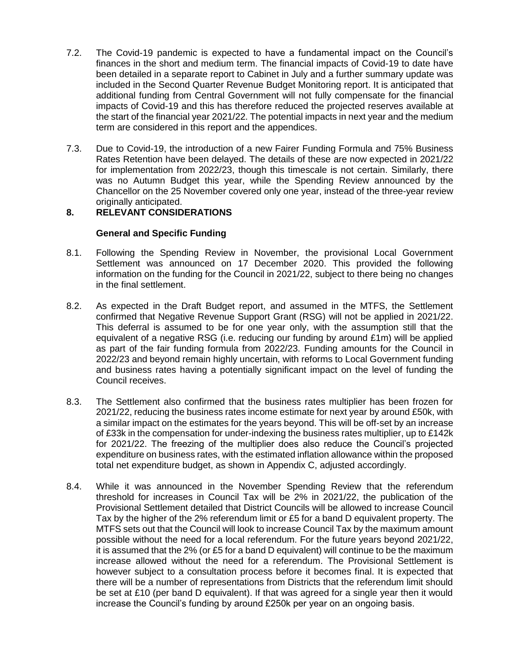- 7.2. The Covid-19 pandemic is expected to have a fundamental impact on the Council's finances in the short and medium term. The financial impacts of Covid-19 to date have been detailed in a separate report to Cabinet in July and a further summary update was included in the Second Quarter Revenue Budget Monitoring report. It is anticipated that additional funding from Central Government will not fully compensate for the financial impacts of Covid-19 and this has therefore reduced the projected reserves available at the start of the financial year 2021/22. The potential impacts in next year and the medium term are considered in this report and the appendices.
- 7.3. Due to Covid-19, the introduction of a new Fairer Funding Formula and 75% Business Rates Retention have been delayed. The details of these are now expected in 2021/22 for implementation from 2022/23, though this timescale is not certain. Similarly, there was no Autumn Budget this year, while the Spending Review announced by the Chancellor on the 25 November covered only one year, instead of the three-year review originally anticipated.

# **8. RELEVANT CONSIDERATIONS**

# **General and Specific Funding**

- 8.1. Following the Spending Review in November, the provisional Local Government Settlement was announced on 17 December 2020. This provided the following information on the funding for the Council in 2021/22, subject to there being no changes in the final settlement.
- 8.2. As expected in the Draft Budget report, and assumed in the MTFS, the Settlement confirmed that Negative Revenue Support Grant (RSG) will not be applied in 2021/22. This deferral is assumed to be for one year only, with the assumption still that the equivalent of a negative RSG (i.e. reducing our funding by around £1m) will be applied as part of the fair funding formula from 2022/23. Funding amounts for the Council in 2022/23 and beyond remain highly uncertain, with reforms to Local Government funding and business rates having a potentially significant impact on the level of funding the Council receives.
- 8.3. The Settlement also confirmed that the business rates multiplier has been frozen for 2021/22, reducing the business rates income estimate for next year by around £50k, with a similar impact on the estimates for the years beyond. This will be off-set by an increase of £33k in the compensation for under-indexing the business rates multiplier, up to £142k for 2021/22. The freezing of the multiplier does also reduce the Council's projected expenditure on business rates, with the estimated inflation allowance within the proposed total net expenditure budget, as shown in Appendix C, adjusted accordingly.
- 8.4. While it was announced in the November Spending Review that the referendum threshold for increases in Council Tax will be 2% in 2021/22, the publication of the Provisional Settlement detailed that District Councils will be allowed to increase Council Tax by the higher of the 2% referendum limit or £5 for a band D equivalent property. The MTFS sets out that the Council will look to increase Council Tax by the maximum amount possible without the need for a local referendum. For the future years beyond 2021/22, it is assumed that the 2% (or £5 for a band D equivalent) will continue to be the maximum increase allowed without the need for a referendum. The Provisional Settlement is however subject to a consultation process before it becomes final. It is expected that there will be a number of representations from Districts that the referendum limit should be set at £10 (per band D equivalent). If that was agreed for a single year then it would increase the Council's funding by around £250k per year on an ongoing basis.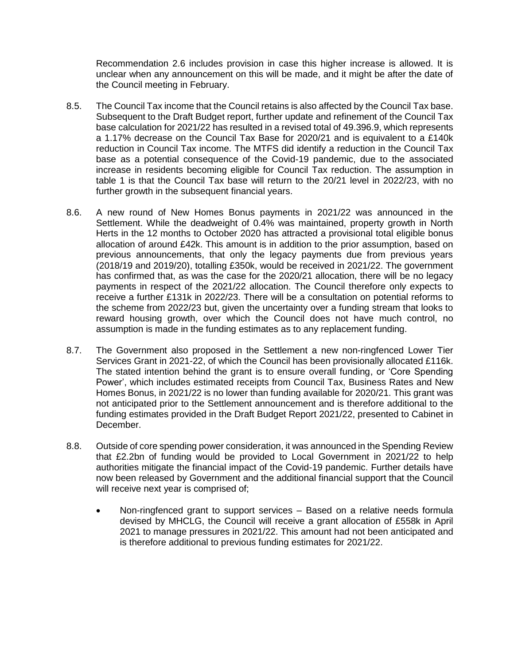Recommendation 2.6 includes provision in case this higher increase is allowed. It is unclear when any announcement on this will be made, and it might be after the date of the Council meeting in February.

- 8.5. The Council Tax income that the Council retains is also affected by the Council Tax base. Subsequent to the Draft Budget report, further update and refinement of the Council Tax base calculation for 2021/22 has resulted in a revised total of 49.396.9, which represents a 1.17% decrease on the Council Tax Base for 2020/21 and is equivalent to a £140k reduction in Council Tax income. The MTFS did identify a reduction in the Council Tax base as a potential consequence of the Covid-19 pandemic, due to the associated increase in residents becoming eligible for Council Tax reduction. The assumption in table 1 is that the Council Tax base will return to the 20/21 level in 2022/23, with no further growth in the subsequent financial years.
- 8.6. A new round of New Homes Bonus payments in 2021/22 was announced in the Settlement. While the deadweight of 0.4% was maintained, property growth in North Herts in the 12 months to October 2020 has attracted a provisional total eligible bonus allocation of around £42k. This amount is in addition to the prior assumption, based on previous announcements, that only the legacy payments due from previous years (2018/19 and 2019/20), totalling £350k, would be received in 2021/22. The government has confirmed that, as was the case for the 2020/21 allocation, there will be no legacy payments in respect of the 2021/22 allocation. The Council therefore only expects to receive a further £131k in 2022/23. There will be a consultation on potential reforms to the scheme from 2022/23 but, given the uncertainty over a funding stream that looks to reward housing growth, over which the Council does not have much control, no assumption is made in the funding estimates as to any replacement funding.
- 8.7. The Government also proposed in the Settlement a new non-ringfenced Lower Tier Services Grant in 2021-22, of which the Council has been provisionally allocated £116k. The stated intention behind the grant is to ensure overall funding, or 'Core Spending Power', which includes estimated receipts from Council Tax, Business Rates and New Homes Bonus, in 2021/22 is no lower than funding available for 2020/21. This grant was not anticipated prior to the Settlement announcement and is therefore additional to the funding estimates provided in the Draft Budget Report 2021/22, presented to Cabinet in December.
- 8.8. Outside of core spending power consideration, it was announced in the Spending Review that £2.2bn of funding would be provided to Local Government in 2021/22 to help authorities mitigate the financial impact of the Covid-19 pandemic. Further details have now been released by Government and the additional financial support that the Council will receive next year is comprised of;
	- Non-ringfenced grant to support services Based on a relative needs formula devised by MHCLG, the Council will receive a grant allocation of £558k in April 2021 to manage pressures in 2021/22. This amount had not been anticipated and is therefore additional to previous funding estimates for 2021/22.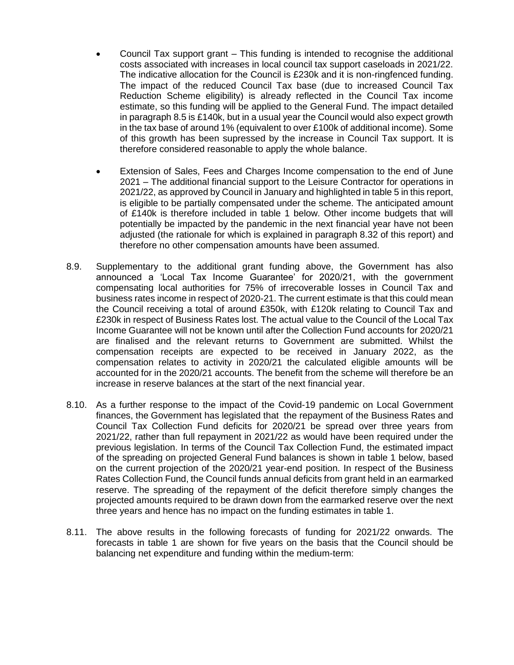- Council Tax support grant This funding is intended to recognise the additional costs associated with increases in local council tax support caseloads in 2021/22. The indicative allocation for the Council is £230k and it is non-ringfenced funding. The impact of the reduced Council Tax base (due to increased Council Tax Reduction Scheme eligibility) is already reflected in the Council Tax income estimate, so this funding will be applied to the General Fund. The impact detailed in paragraph 8.5 is £140k, but in a usual year the Council would also expect growth in the tax base of around 1% (equivalent to over £100k of additional income). Some of this growth has been supressed by the increase in Council Tax support. It is therefore considered reasonable to apply the whole balance.
- Extension of Sales, Fees and Charges Income compensation to the end of June 2021 – The additional financial support to the Leisure Contractor for operations in 2021/22, as approved by Council in January and highlighted in table 5 in this report, is eligible to be partially compensated under the scheme. The anticipated amount of £140k is therefore included in table 1 below. Other income budgets that will potentially be impacted by the pandemic in the next financial year have not been adjusted (the rationale for which is explained in paragraph 8.32 of this report) and therefore no other compensation amounts have been assumed.
- 8.9. Supplementary to the additional grant funding above, the Government has also announced a 'Local Tax Income Guarantee' for 2020/21, with the government compensating local authorities for 75% of irrecoverable losses in Council Tax and business rates income in respect of 2020-21. The current estimate is that this could mean the Council receiving a total of around £350k, with £120k relating to Council Tax and £230k in respect of Business Rates lost. The actual value to the Council of the Local Tax Income Guarantee will not be known until after the Collection Fund accounts for 2020/21 are finalised and the relevant returns to Government are submitted. Whilst the compensation receipts are expected to be received in January 2022, as the compensation relates to activity in 2020/21 the calculated eligible amounts will be accounted for in the 2020/21 accounts. The benefit from the scheme will therefore be an increase in reserve balances at the start of the next financial year.
- 8.10. As a further response to the impact of the Covid-19 pandemic on Local Government finances, the Government has legislated that the repayment of the Business Rates and Council Tax Collection Fund deficits for 2020/21 be spread over three years from 2021/22, rather than full repayment in 2021/22 as would have been required under the previous legislation. In terms of the Council Tax Collection Fund, the estimated impact of the spreading on projected General Fund balances is shown in table 1 below, based on the current projection of the 2020/21 year-end position. In respect of the Business Rates Collection Fund, the Council funds annual deficits from grant held in an earmarked reserve. The spreading of the repayment of the deficit therefore simply changes the projected amounts required to be drawn down from the earmarked reserve over the next three years and hence has no impact on the funding estimates in table 1.
- 8.11. The above results in the following forecasts of funding for 2021/22 onwards. The forecasts in table 1 are shown for five years on the basis that the Council should be balancing net expenditure and funding within the medium-term: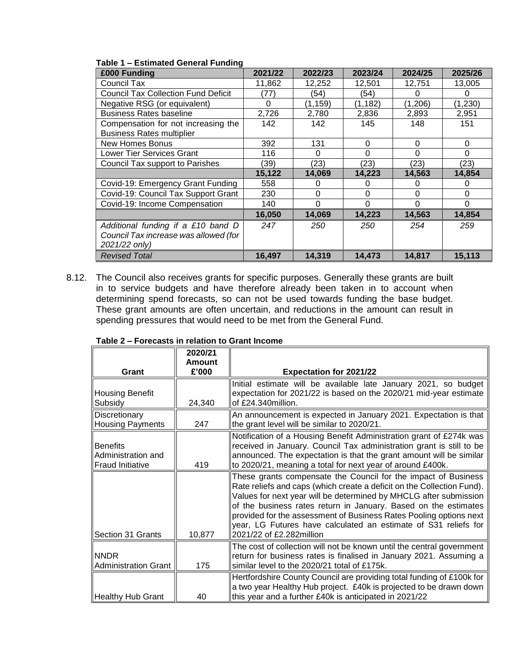| £000 Funding                               | 2021/22  | 2022/23  | 2023/24  | 2024/25  | 2025/26  |
|--------------------------------------------|----------|----------|----------|----------|----------|
| Council Tax                                | 11,862   | 12,252   | 12,501   | 12,751   | 13,005   |
| <b>Council Tax Collection Fund Deficit</b> | (77      | (54)     | (54)     | O        |          |
| Negative RSG (or equivalent)               | $\Omega$ | (1, 159) | (1, 182) | (1,206)  | (1,230)  |
| <b>Business Rates baseline</b>             | 2,726    | 2,780    | 2,836    | 2,893    | 2,951    |
| Compensation for not increasing the        | 142      | 142      | 145      | 148      | 151      |
| <b>Business Rates multiplier</b>           |          |          |          |          |          |
| <b>New Homes Bonus</b>                     | 392      | 131      | 0        | 0        | $\Omega$ |
| <b>Lower Tier Services Grant</b>           | 116      | 0        | 0        | 0        | $\Omega$ |
| Council Tax support to Parishes            | (39)     | (23)     | (23)     | (23)     | (23)     |
|                                            | 15,122   | 14,069   | 14,223   | 14,563   | 14.854   |
| Covid-19: Emergency Grant Funding          | 558      | 0        | O        | 0        | 0        |
| Covid-19: Council Tax Support Grant        | 230      | $\Omega$ | 0        | 0        | $\Omega$ |
| Covid-19: Income Compensation              | 140      | $\Omega$ | 0        | $\Omega$ | $\Omega$ |
|                                            | 16,050   | 14,069   | 14,223   | 14,563   | 14,854   |
| Additional funding if a £10 band D         | 247      | 250      | 250      | 254      | 259      |
| Council Tax increase was allowed (for      |          |          |          |          |          |
| 2021/22 only)                              |          |          |          |          |          |
| <b>Revised Total</b>                       | 16,497   | 14,319   | 14,473   | 14,817   | 15,113   |

#### **Table 1 – Estimated General Funding**

8.12. The Council also receives grants for specific purposes. Generally these grants are built in to service budgets and have therefore already been taken in to account when determining spend forecasts, so can not be used towards funding the base budget. These grant amounts are often uncertain, and reductions in the amount can result in spending pressures that would need to be met from the General Fund.

|                                                                  | 2020/21<br>Amount |                                                                                                                                                                                                                                                                                                                                                                                                                                                       |
|------------------------------------------------------------------|-------------------|-------------------------------------------------------------------------------------------------------------------------------------------------------------------------------------------------------------------------------------------------------------------------------------------------------------------------------------------------------------------------------------------------------------------------------------------------------|
| Grant                                                            | £'000             | <b>Expectation for 2021/22</b>                                                                                                                                                                                                                                                                                                                                                                                                                        |
| <b>Housing Benefit</b><br>Subsidy                                | 24,340            | Initial estimate will be available late January 2021, so budget<br>expectation for 2021/22 is based on the 2020/21 mid-year estimate<br>of £24.340million.                                                                                                                                                                                                                                                                                            |
| Discretionary<br><b>Housing Payments</b>                         | 247               | An announcement is expected in January 2021. Expectation is that<br>the grant level will be similar to 2020/21.                                                                                                                                                                                                                                                                                                                                       |
| <b>Benefits</b><br>Administration and<br><b>Fraud Initiative</b> | 419               | Notification of a Housing Benefit Administration grant of £274k was<br>received in January. Council Tax administration grant is still to be<br>announced. The expectation is that the grant amount will be similar<br>to 2020/21, meaning a total for next year of around £400k.                                                                                                                                                                      |
| Section 31 Grants                                                | 10,877            | These grants compensate the Council for the impact of Business<br>Rate reliefs and caps (which create a deficit on the Collection Fund).<br>Values for next year will be determined by MHCLG after submission<br>of the business rates return in January. Based on the estimates<br>provided for the assessment of Business Rates Pooling options next<br>year, LG Futures have calculated an estimate of S31 reliefs for<br>2021/22 of £2.282million |
| <b>NNDR</b><br><b>Administration Grant</b>                       | 175               | The cost of collection will not be known until the central government<br>return for business rates is finalised in January 2021. Assuming a<br>similar level to the 2020/21 total of £175k.                                                                                                                                                                                                                                                           |
| Healthy Hub Grant                                                | 40                | Hertfordshire County Council are providing total funding of £100k for<br>a two year Healthy Hub project. £40k is projected to be drawn down<br>this year and a further £40k is anticipated in 2021/22                                                                                                                                                                                                                                                 |

#### **Table 2 – Forecasts in relation to Grant Income**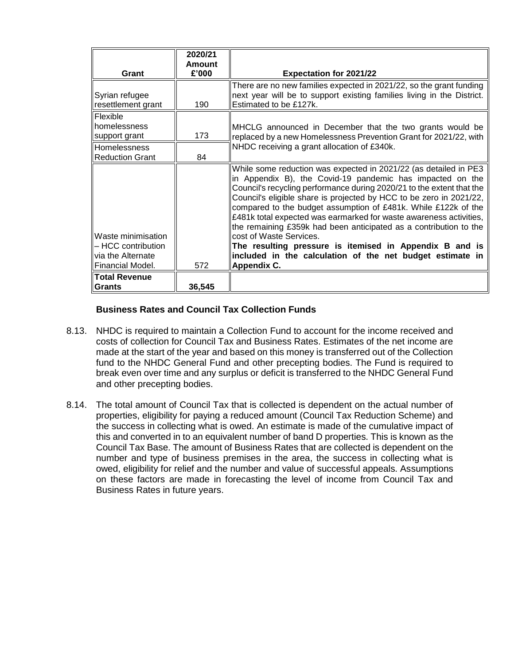| Grant                                                                             | 2020/21<br><b>Amount</b><br>£'000 | <b>Expectation for 2021/22</b>                                                                                                                                                                                                                                                                                                                                                                                                                                                                                                                                                                                                                                |  |  |  |
|-----------------------------------------------------------------------------------|-----------------------------------|---------------------------------------------------------------------------------------------------------------------------------------------------------------------------------------------------------------------------------------------------------------------------------------------------------------------------------------------------------------------------------------------------------------------------------------------------------------------------------------------------------------------------------------------------------------------------------------------------------------------------------------------------------------|--|--|--|
| Syrian refugee                                                                    |                                   | There are no new families expected in 2021/22, so the grant funding<br>next year will be to support existing families living in the District.                                                                                                                                                                                                                                                                                                                                                                                                                                                                                                                 |  |  |  |
| resettlement grant                                                                | 190                               | Estimated to be £127k.                                                                                                                                                                                                                                                                                                                                                                                                                                                                                                                                                                                                                                        |  |  |  |
| Flexible<br>homelessness<br>support grant                                         | 173                               | MHCLG announced in December that the two grants would be<br>replaced by a new Homelessness Prevention Grant for 2021/22, with                                                                                                                                                                                                                                                                                                                                                                                                                                                                                                                                 |  |  |  |
| <b>Homelessness</b><br><b>Reduction Grant</b>                                     | 84                                | NHDC receiving a grant allocation of £340k.                                                                                                                                                                                                                                                                                                                                                                                                                                                                                                                                                                                                                   |  |  |  |
| Waste minimisation<br>- HCC contribution<br>via the Alternate<br>Financial Model. | 572                               | While some reduction was expected in 2021/22 (as detailed in PE3<br>in Appendix B), the Covid-19 pandemic has impacted on the<br>Council's recycling performance during 2020/21 to the extent that the<br>Council's eligible share is projected by HCC to be zero in 2021/22,<br>compared to the budget assumption of £481k. While £122k of the<br>£481k total expected was earmarked for waste awareness activities,<br>the remaining £359k had been anticipated as a contribution to the<br>lcost of Waste Services.<br>The resulting pressure is itemised in Appendix B and is<br>included in the calculation of the net budget estimate in<br>Appendix C. |  |  |  |
| <b>Total Revenue</b><br><b>Grants</b>                                             | 36,545                            |                                                                                                                                                                                                                                                                                                                                                                                                                                                                                                                                                                                                                                                               |  |  |  |

# **Business Rates and Council Tax Collection Funds**

- 8.13. NHDC is required to maintain a Collection Fund to account for the income received and costs of collection for Council Tax and Business Rates. Estimates of the net income are made at the start of the year and based on this money is transferred out of the Collection fund to the NHDC General Fund and other precepting bodies. The Fund is required to break even over time and any surplus or deficit is transferred to the NHDC General Fund and other precepting bodies.
- 8.14. The total amount of Council Tax that is collected is dependent on the actual number of properties, eligibility for paying a reduced amount (Council Tax Reduction Scheme) and the success in collecting what is owed. An estimate is made of the cumulative impact of this and converted in to an equivalent number of band D properties. This is known as the Council Tax Base. The amount of Business Rates that are collected is dependent on the number and type of business premises in the area, the success in collecting what is owed, eligibility for relief and the number and value of successful appeals. Assumptions on these factors are made in forecasting the level of income from Council Tax and Business Rates in future years.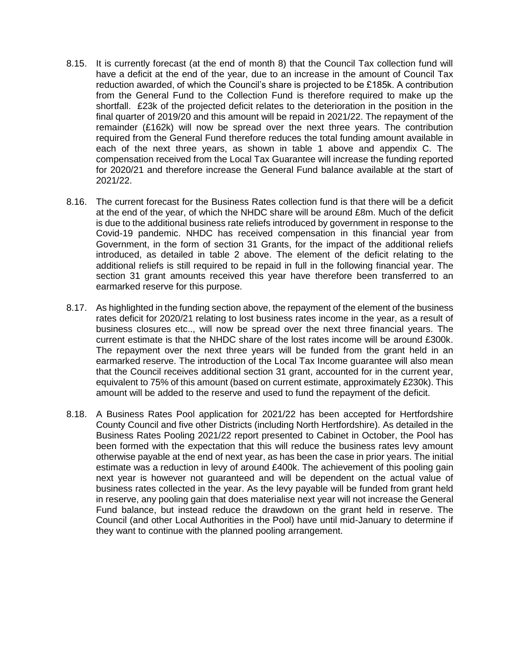- 8.15. It is currently forecast (at the end of month 8) that the Council Tax collection fund will have a deficit at the end of the year, due to an increase in the amount of Council Tax reduction awarded, of which the Council's share is projected to be £185k. A contribution from the General Fund to the Collection Fund is therefore required to make up the shortfall. £23k of the projected deficit relates to the deterioration in the position in the final quarter of 2019/20 and this amount will be repaid in 2021/22. The repayment of the remainder (£162k) will now be spread over the next three years. The contribution required from the General Fund therefore reduces the total funding amount available in each of the next three years, as shown in table 1 above and appendix C. The compensation received from the Local Tax Guarantee will increase the funding reported for 2020/21 and therefore increase the General Fund balance available at the start of 2021/22.
- 8.16. The current forecast for the Business Rates collection fund is that there will be a deficit at the end of the year, of which the NHDC share will be around £8m. Much of the deficit is due to the additional business rate reliefs introduced by government in response to the Covid-19 pandemic. NHDC has received compensation in this financial year from Government, in the form of section 31 Grants, for the impact of the additional reliefs introduced, as detailed in table 2 above. The element of the deficit relating to the additional reliefs is still required to be repaid in full in the following financial year. The section 31 grant amounts received this year have therefore been transferred to an earmarked reserve for this purpose.
- 8.17. As highlighted in the funding section above, the repayment of the element of the business rates deficit for 2020/21 relating to lost business rates income in the year, as a result of business closures etc.., will now be spread over the next three financial years. The current estimate is that the NHDC share of the lost rates income will be around £300k. The repayment over the next three years will be funded from the grant held in an earmarked reserve. The introduction of the Local Tax Income guarantee will also mean that the Council receives additional section 31 grant, accounted for in the current year, equivalent to 75% of this amount (based on current estimate, approximately £230k). This amount will be added to the reserve and used to fund the repayment of the deficit.
- 8.18. A Business Rates Pool application for 2021/22 has been accepted for Hertfordshire County Council and five other Districts (including North Hertfordshire). As detailed in the Business Rates Pooling 2021/22 report presented to Cabinet in October, the Pool has been formed with the expectation that this will reduce the business rates levy amount otherwise payable at the end of next year, as has been the case in prior years. The initial estimate was a reduction in levy of around £400k. The achievement of this pooling gain next year is however not guaranteed and will be dependent on the actual value of business rates collected in the year. As the levy payable will be funded from grant held in reserve, any pooling gain that does materialise next year will not increase the General Fund balance, but instead reduce the drawdown on the grant held in reserve. The Council (and other Local Authorities in the Pool) have until mid-January to determine if they want to continue with the planned pooling arrangement.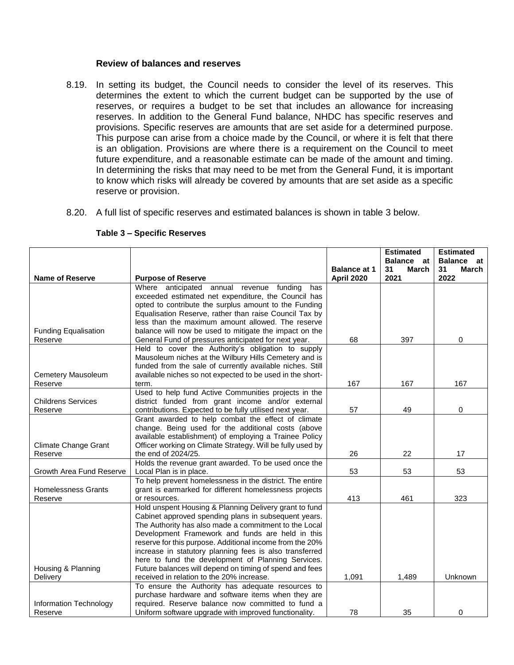#### **Review of balances and reserves**

- 8.19. In setting its budget, the Council needs to consider the level of its reserves. This determines the extent to which the current budget can be supported by the use of reserves, or requires a budget to be set that includes an allowance for increasing reserves. In addition to the General Fund balance, NHDC has specific reserves and provisions. Specific reserves are amounts that are set aside for a determined purpose. This purpose can arise from a choice made by the Council, or where it is felt that there is an obligation. Provisions are where there is a requirement on the Council to meet future expenditure, and a reasonable estimate can be made of the amount and timing. In determining the risks that may need to be met from the General Fund, it is important to know which risks will already be covered by amounts that are set aside as a specific reserve or provision.
- 8.20. A full list of specific reserves and estimated balances is shown in table 3 below.

|                                        |                                                                                                                     |                     | <b>Estimated</b>          | <b>Estimated</b>                 |
|----------------------------------------|---------------------------------------------------------------------------------------------------------------------|---------------------|---------------------------|----------------------------------|
|                                        |                                                                                                                     | <b>Balance at 1</b> | Balance at<br>31<br>March | <b>Balance</b> at<br>31<br>March |
| <b>Name of Reserve</b>                 | <b>Purpose of Reserve</b>                                                                                           | <b>April 2020</b>   | 2021                      | 2022                             |
|                                        | Where anticipated annual revenue funding has                                                                        |                     |                           |                                  |
|                                        | exceeded estimated net expenditure, the Council has                                                                 |                     |                           |                                  |
|                                        | opted to contribute the surplus amount to the Funding                                                               |                     |                           |                                  |
|                                        | Equalisation Reserve, rather than raise Council Tax by                                                              |                     |                           |                                  |
|                                        | less than the maximum amount allowed. The reserve                                                                   |                     |                           |                                  |
| <b>Funding Equalisation</b>            | balance will now be used to mitigate the impact on the                                                              | 68                  | 397                       |                                  |
| Reserve                                | General Fund of pressures anticipated for next year.<br>Held to cover the Authority's obligation to supply          |                     |                           | 0                                |
|                                        | Mausoleum niches at the Wilbury Hills Cemetery and is                                                               |                     |                           |                                  |
|                                        | funded from the sale of currently available niches. Still                                                           |                     |                           |                                  |
| Cemetery Mausoleum                     | available niches so not expected to be used in the short-                                                           |                     |                           |                                  |
| Reserve                                | term.                                                                                                               | 167                 | 167                       | 167                              |
|                                        | Used to help fund Active Communities projects in the                                                                |                     |                           |                                  |
| <b>Childrens Services</b>              | district funded from grant income and/or external                                                                   |                     |                           |                                  |
| Reserve                                | contributions. Expected to be fully utilised next year.                                                             | 57                  | 49                        | 0                                |
|                                        | Grant awarded to help combat the effect of climate                                                                  |                     |                           |                                  |
|                                        | change. Being used for the additional costs (above                                                                  |                     |                           |                                  |
|                                        | available establishment) of employing a Trainee Policy                                                              |                     |                           |                                  |
| <b>Climate Change Grant</b><br>Reserve | Officer working on Climate Strategy. Will be fully used by<br>the end of 2024/25.                                   | 26                  | 22                        | 17                               |
|                                        | Holds the revenue grant awarded. To be used once the                                                                |                     |                           |                                  |
| Growth Area Fund Reserve               | Local Plan is in place.                                                                                             | 53                  | 53                        | 53                               |
|                                        | To help prevent homelessness in the district. The entire                                                            |                     |                           |                                  |
| <b>Homelessness Grants</b>             | grant is earmarked for different homelessness projects                                                              |                     |                           |                                  |
| Reserve                                | or resources.                                                                                                       | 413                 | 461                       | 323                              |
|                                        | Hold unspent Housing & Planning Delivery grant to fund                                                              |                     |                           |                                  |
|                                        | Cabinet approved spending plans in subsequent years.                                                                |                     |                           |                                  |
|                                        | The Authority has also made a commitment to the Local                                                               |                     |                           |                                  |
|                                        | Development Framework and funds are held in this                                                                    |                     |                           |                                  |
|                                        | reserve for this purpose. Additional income from the 20%<br>increase in statutory planning fees is also transferred |                     |                           |                                  |
|                                        | here to fund the development of Planning Services.                                                                  |                     |                           |                                  |
| Housing & Planning                     | Future balances will depend on timing of spend and fees                                                             |                     |                           |                                  |
| Delivery                               | received in relation to the 20% increase.                                                                           | 1,091               | 1,489                     | Unknown                          |
|                                        | To ensure the Authority has adequate resources to                                                                   |                     |                           |                                  |
|                                        | purchase hardware and software items when they are                                                                  |                     |                           |                                  |
| Information Technology                 | required. Reserve balance now committed to fund a                                                                   |                     |                           |                                  |
| Reserve                                | Uniform software upgrade with improved functionality.                                                               | 78                  | 35                        | 0                                |

#### **Table 3 – Specific Reserves**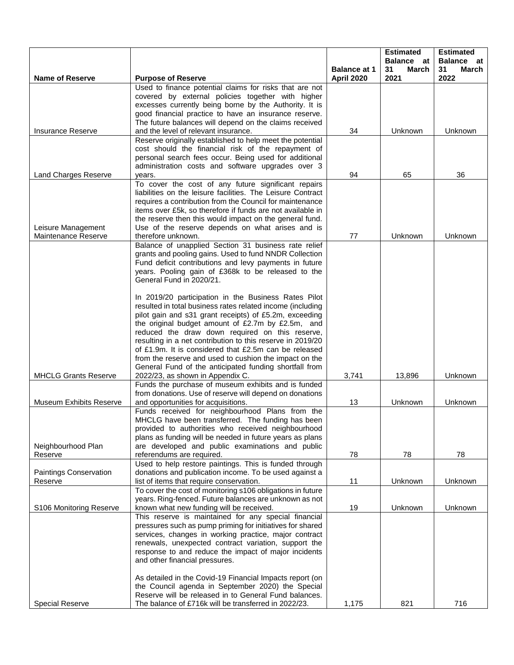|                                           |                                                                                                                 |                                          | <b>Estimated</b><br><b>Balance</b> at | <b>Estimated</b><br><b>Balance</b> at |
|-------------------------------------------|-----------------------------------------------------------------------------------------------------------------|------------------------------------------|---------------------------------------|---------------------------------------|
| <b>Name of Reserve</b>                    | <b>Purpose of Reserve</b>                                                                                       | <b>Balance at 1</b><br><b>April 2020</b> | 31<br>March<br>2021                   | 31<br>March<br>2022                   |
|                                           | Used to finance potential claims for risks that are not                                                         |                                          |                                       |                                       |
|                                           | covered by external policies together with higher                                                               |                                          |                                       |                                       |
|                                           | excesses currently being borne by the Authority. It is                                                          |                                          |                                       |                                       |
|                                           | good financial practice to have an insurance reserve.<br>The future balances will depend on the claims received |                                          |                                       |                                       |
| Insurance Reserve                         | and the level of relevant insurance.                                                                            | 34                                       | Unknown                               | Unknown                               |
|                                           | Reserve originally established to help meet the potential                                                       |                                          |                                       |                                       |
|                                           | cost should the financial risk of the repayment of                                                              |                                          |                                       |                                       |
|                                           | personal search fees occur. Being used for additional                                                           |                                          |                                       |                                       |
| Land Charges Reserve                      | administration costs and software upgrades over 3                                                               | 94                                       | 65                                    | 36                                    |
|                                           | years.<br>To cover the cost of any future significant repairs                                                   |                                          |                                       |                                       |
|                                           | liabilities on the leisure facilities. The Leisure Contract                                                     |                                          |                                       |                                       |
|                                           | requires a contribution from the Council for maintenance                                                        |                                          |                                       |                                       |
|                                           | items over £5k, so therefore if funds are not available in                                                      |                                          |                                       |                                       |
|                                           | the reserve then this would impact on the general fund.                                                         |                                          |                                       |                                       |
| Leisure Management<br>Maintenance Reserve | Use of the reserve depends on what arises and is<br>therefore unknown.                                          | 77                                       | Unknown                               | Unknown                               |
|                                           | Balance of unapplied Section 31 business rate relief                                                            |                                          |                                       |                                       |
|                                           | grants and pooling gains. Used to fund NNDR Collection                                                          |                                          |                                       |                                       |
|                                           | Fund deficit contributions and levy payments in future                                                          |                                          |                                       |                                       |
|                                           | years. Pooling gain of £368k to be released to the                                                              |                                          |                                       |                                       |
|                                           | General Fund in 2020/21.                                                                                        |                                          |                                       |                                       |
|                                           | In 2019/20 participation in the Business Rates Pilot                                                            |                                          |                                       |                                       |
|                                           | resulted in total business rates related income (including                                                      |                                          |                                       |                                       |
|                                           | pilot gain and s31 grant receipts) of £5.2m, exceeding                                                          |                                          |                                       |                                       |
|                                           | the original budget amount of £2.7m by £2.5m, and                                                               |                                          |                                       |                                       |
|                                           | reduced the draw down required on this reserve,<br>resulting in a net contribution to this reserve in 2019/20   |                                          |                                       |                                       |
|                                           | of £1.9m. It is considered that £2.5m can be released                                                           |                                          |                                       |                                       |
|                                           | from the reserve and used to cushion the impact on the                                                          |                                          |                                       |                                       |
|                                           | General Fund of the anticipated funding shortfall from                                                          |                                          |                                       |                                       |
| <b>MHCLG Grants Reserve</b>               | 2022/23, as shown in Appendix C.                                                                                | 3,741                                    | 13,896                                | Unknown                               |
|                                           | Funds the purchase of museum exhibits and is funded<br>from donations. Use of reserve will depend on donations  |                                          |                                       |                                       |
| Museum Exhibits Reserve                   | and opportunities for acquisitions.                                                                             | 13                                       | Unknown                               | Unknown                               |
|                                           | Funds received for neighbourhood Plans from the                                                                 |                                          |                                       |                                       |
|                                           | MHCLG have been transferred. The funding has been                                                               |                                          |                                       |                                       |
|                                           | provided to authorities who received neighbourhood                                                              |                                          |                                       |                                       |
|                                           | plans as funding will be needed in future years as plans                                                        |                                          |                                       |                                       |
| Neighbourhood Plan<br>Reserve             | are developed and public examinations and public<br>referendums are required.                                   | 78                                       | 78                                    | 78                                    |
|                                           | Used to help restore paintings. This is funded through                                                          |                                          |                                       |                                       |
| Paintings Conservation                    | donations and publication income. To be used against a                                                          |                                          |                                       |                                       |
| Reserve                                   | list of items that require conservation.                                                                        | 11                                       | Unknown                               | Unknown                               |
|                                           | To cover the cost of monitoring s106 obligations in future                                                      |                                          |                                       |                                       |
| S106 Monitoring Reserve                   | years. Ring-fenced. Future balances are unknown as not<br>known what new funding will be received.              | 19                                       | Unknown                               | Unknown                               |
|                                           | This reserve is maintained for any special financial                                                            |                                          |                                       |                                       |
|                                           | pressures such as pump priming for initiatives for shared                                                       |                                          |                                       |                                       |
|                                           | services, changes in working practice, major contract                                                           |                                          |                                       |                                       |
|                                           | renewals, unexpected contract variation, support the                                                            |                                          |                                       |                                       |
|                                           | response to and reduce the impact of major incidents<br>and other financial pressures.                          |                                          |                                       |                                       |
|                                           |                                                                                                                 |                                          |                                       |                                       |
|                                           | As detailed in the Covid-19 Financial Impacts report (on                                                        |                                          |                                       |                                       |
|                                           | the Council agenda in September 2020) the Special                                                               |                                          |                                       |                                       |
|                                           | Reserve will be released in to General Fund balances.                                                           |                                          |                                       |                                       |
| <b>Special Reserve</b>                    | The balance of £716k will be transferred in 2022/23.                                                            | 1,175                                    | 821                                   | 716                                   |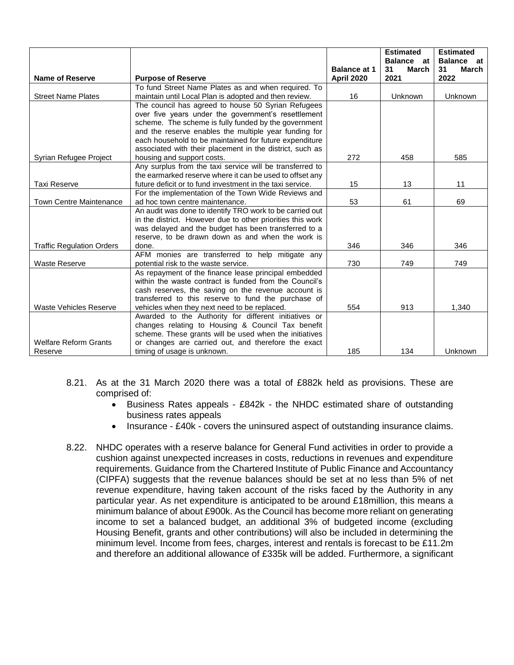|                                  |                                                                                                              |                     | <b>Estimated</b>    | <b>Estimated</b>    |
|----------------------------------|--------------------------------------------------------------------------------------------------------------|---------------------|---------------------|---------------------|
|                                  |                                                                                                              |                     | <b>Balance</b> at   | <b>Balance</b> at   |
| <b>Name of Reserve</b>           |                                                                                                              | <b>Balance at 1</b> | 31<br>March<br>2021 | 31<br>March<br>2022 |
|                                  | <b>Purpose of Reserve</b>                                                                                    | <b>April 2020</b>   |                     |                     |
| <b>Street Name Plates</b>        | To fund Street Name Plates as and when required. To<br>maintain until Local Plan is adopted and then review. | 16                  | Unknown             | Unknown             |
|                                  | The council has agreed to house 50 Syrian Refugees                                                           |                     |                     |                     |
|                                  | over five years under the government's resettlement                                                          |                     |                     |                     |
|                                  | scheme. The scheme is fully funded by the government                                                         |                     |                     |                     |
|                                  | and the reserve enables the multiple year funding for                                                        |                     |                     |                     |
|                                  | each household to be maintained for future expenditure                                                       |                     |                     |                     |
|                                  | associated with their placement in the district, such as                                                     |                     |                     |                     |
| Syrian Refugee Project           | housing and support costs.                                                                                   | 272                 | 458                 | 585                 |
|                                  | Any surplus from the taxi service will be transferred to                                                     |                     |                     |                     |
|                                  | the earmarked reserve where it can be used to offset any                                                     |                     |                     |                     |
| <b>Taxi Reserve</b>              | future deficit or to fund investment in the taxi service.                                                    | 15                  | 13                  | 11                  |
|                                  | For the implementation of the Town Wide Reviews and                                                          |                     |                     |                     |
| <b>Town Centre Maintenance</b>   | ad hoc town centre maintenance.                                                                              | 53                  | 61                  | 69                  |
|                                  | An audit was done to identify TRO work to be carried out                                                     |                     |                     |                     |
|                                  | in the district. However due to other priorities this work                                                   |                     |                     |                     |
|                                  | was delayed and the budget has been transferred to a                                                         |                     |                     |                     |
|                                  | reserve, to be drawn down as and when the work is                                                            |                     |                     |                     |
| <b>Traffic Regulation Orders</b> | done.                                                                                                        | 346                 | 346                 | 346                 |
|                                  | AFM monies are transferred to help mitigate any                                                              |                     |                     |                     |
| <b>Waste Reserve</b>             | potential risk to the waste service.                                                                         | 730                 | 749                 | 749                 |
|                                  | As repayment of the finance lease principal embedded                                                         |                     |                     |                     |
|                                  | within the waste contract is funded from the Council's                                                       |                     |                     |                     |
|                                  | cash reserves, the saving on the revenue account is                                                          |                     |                     |                     |
|                                  | transferred to this reserve to fund the purchase of                                                          |                     |                     |                     |
| <b>Waste Vehicles Reserve</b>    | vehicles when they next need to be replaced.<br>Awarded to the Authority for different initiatives or        | 554                 | 913                 | 1.340               |
|                                  | changes relating to Housing & Council Tax benefit                                                            |                     |                     |                     |
|                                  | scheme. These grants will be used when the initiatives                                                       |                     |                     |                     |
| <b>Welfare Reform Grants</b>     | or changes are carried out, and therefore the exact                                                          |                     |                     |                     |
| Reserve                          | timing of usage is unknown.                                                                                  | 185                 | 134                 | Unknown             |

- 8.21. As at the 31 March 2020 there was a total of £882k held as provisions. These are comprised of:
	- Business Rates appeals £842k the NHDC estimated share of outstanding business rates appeals
	- Insurance £40k covers the uninsured aspect of outstanding insurance claims.
- 8.22. NHDC operates with a reserve balance for General Fund activities in order to provide a cushion against unexpected increases in costs, reductions in revenues and expenditure requirements. Guidance from the Chartered Institute of Public Finance and Accountancy (CIPFA) suggests that the revenue balances should be set at no less than 5% of net revenue expenditure, having taken account of the risks faced by the Authority in any particular year. As net expenditure is anticipated to be around £18million, this means a minimum balance of about £900k. As the Council has become more reliant on generating income to set a balanced budget, an additional 3% of budgeted income (excluding Housing Benefit, grants and other contributions) will also be included in determining the minimum level. Income from fees, charges, interest and rentals is forecast to be £11.2m and therefore an additional allowance of £335k will be added. Furthermore, a significant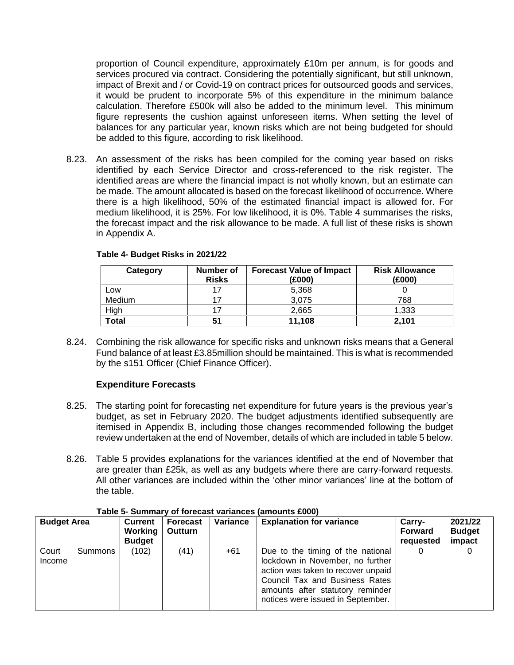proportion of Council expenditure, approximately £10m per annum, is for goods and services procured via contract. Considering the potentially significant, but still unknown, impact of Brexit and / or Covid-19 on contract prices for outsourced goods and services, it would be prudent to incorporate 5% of this expenditure in the minimum balance calculation. Therefore £500k will also be added to the minimum level. This minimum figure represents the cushion against unforeseen items. When setting the level of balances for any particular year, known risks which are not being budgeted for should be added to this figure, according to risk likelihood.

8.23. An assessment of the risks has been compiled for the coming year based on risks identified by each Service Director and cross-referenced to the risk register. The identified areas are where the financial impact is not wholly known, but an estimate can be made. The amount allocated is based on the forecast likelihood of occurrence. Where there is a high likelihood, 50% of the estimated financial impact is allowed for. For medium likelihood, it is 25%. For low likelihood, it is 0%. Table 4 summarises the risks, the forecast impact and the risk allowance to be made. A full list of these risks is shown in Appendix A.

| Category     | Number of<br><b>Risks</b> | <b>Forecast Value of Impact</b><br>(£000) | <b>Risk Allowance</b><br>(£000) |
|--------------|---------------------------|-------------------------------------------|---------------------------------|
| Low          |                           | 5,368                                     |                                 |
| Medium       |                           | 3.075                                     | 768                             |
| High         |                           | 2,665                                     | 1.333                           |
| <b>Total</b> | 51                        | 11,108                                    | 2.101                           |

#### **Table 4- Budget Risks in 2021/22**

8.24. Combining the risk allowance for specific risks and unknown risks means that a General Fund balance of at least £3.85million should be maintained. This is what is recommended by the s151 Officer (Chief Finance Officer).

# **Expenditure Forecasts**

- 8.25. The starting point for forecasting net expenditure for future years is the previous year's budget, as set in February 2020. The budget adjustments identified subsequently are itemised in Appendix B, including those changes recommended following the budget review undertaken at the end of November, details of which are included in table 5 below.
- 8.26. Table 5 provides explanations for the variances identified at the end of November that are greater than £25k, as well as any budgets where there are carry-forward requests. All other variances are included within the 'other minor variances' line at the bottom of the table.

| <b>Budget Area</b> |         | Current<br>Working<br><b>Budget</b> | Forecast<br>Outturn | Variance | <b>Explanation for variance</b>                                                                                                                                                                                        | Carry-<br><b>Forward</b><br>requested | 2021/22<br><b>Budget</b><br>impact |
|--------------------|---------|-------------------------------------|---------------------|----------|------------------------------------------------------------------------------------------------------------------------------------------------------------------------------------------------------------------------|---------------------------------------|------------------------------------|
| Court<br>Income    | Summons | (102)                               | (41)                | $+61$    | Due to the timing of the national<br>lockdown in November, no further<br>action was taken to recover unpaid<br>Council Tax and Business Rates<br>amounts after statutory reminder<br>notices were issued in September. | 0                                     |                                    |

#### **Table 5- Summary of forecast variances (amounts £000)**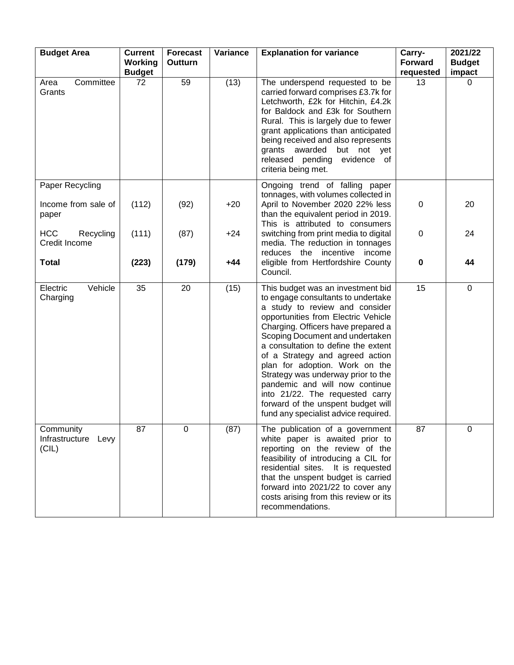| <b>Budget Area</b>                        | <b>Current</b><br>Working<br><b>Budget</b> | <b>Forecast</b><br>Outturn | Variance | <b>Explanation for variance</b>                                                                                                                                                                                                                                                                                                                                                                                                                                                                                                | Carry-<br><b>Forward</b><br>requested | 2021/22<br><b>Budget</b><br>impact |
|-------------------------------------------|--------------------------------------------|----------------------------|----------|--------------------------------------------------------------------------------------------------------------------------------------------------------------------------------------------------------------------------------------------------------------------------------------------------------------------------------------------------------------------------------------------------------------------------------------------------------------------------------------------------------------------------------|---------------------------------------|------------------------------------|
| Committee<br>Area<br>Grants               | 72                                         | 59                         | (13)     | The underspend requested to be<br>carried forward comprises £3.7k for<br>Letchworth, £2k for Hitchin, £4.2k<br>for Baldock and £3k for Southern<br>Rural. This is largely due to fewer<br>grant applications than anticipated<br>being received and also represents<br>grants awarded but not yet<br>released pending evidence of<br>criteria being met.                                                                                                                                                                       | 13                                    | 0                                  |
| Paper Recycling                           |                                            |                            |          | Ongoing trend of falling paper<br>tonnages, with volumes collected in                                                                                                                                                                                                                                                                                                                                                                                                                                                          |                                       |                                    |
| Income from sale of<br>paper              | (112)                                      | (92)                       | $+20$    | April to November 2020 22% less<br>than the equivalent period in 2019.<br>This is attributed to consumers                                                                                                                                                                                                                                                                                                                                                                                                                      | $\mathbf 0$                           | 20                                 |
| <b>HCC</b><br>Recycling<br>Credit Income  | (111)                                      | (87)                       | $+24$    | switching from print media to digital<br>media. The reduction in tonnages<br>reduces the incentive<br>income                                                                                                                                                                                                                                                                                                                                                                                                                   | 0                                     | 24                                 |
| <b>Total</b>                              | (223)                                      | (179)                      | $+44$    | eligible from Hertfordshire County<br>Council.                                                                                                                                                                                                                                                                                                                                                                                                                                                                                 | $\mathbf 0$                           | 44                                 |
| Vehicle<br>Electric<br>Charging           | 35                                         | 20                         | (15)     | This budget was an investment bid<br>to engage consultants to undertake<br>a study to review and consider<br>opportunities from Electric Vehicle<br>Charging. Officers have prepared a<br>Scoping Document and undertaken<br>a consultation to define the extent<br>of a Strategy and agreed action<br>plan for adoption. Work on the<br>Strategy was underway prior to the<br>pandemic and will now continue<br>into 21/22. The requested carry<br>forward of the unspent budget will<br>fund any specialist advice required. | 15                                    | $\mathbf 0$                        |
| Community<br>Infrastructure Levy<br>(CIL) | 87                                         | $\mathbf 0$                | (87)     | The publication of a government<br>white paper is awaited prior to<br>reporting on the review of the<br>feasibility of introducing a CIL for<br>residential sites. It is requested<br>that the unspent budget is carried<br>forward into 2021/22 to cover any<br>costs arising from this review or its<br>recommendations.                                                                                                                                                                                                     | 87                                    | $\mathbf 0$                        |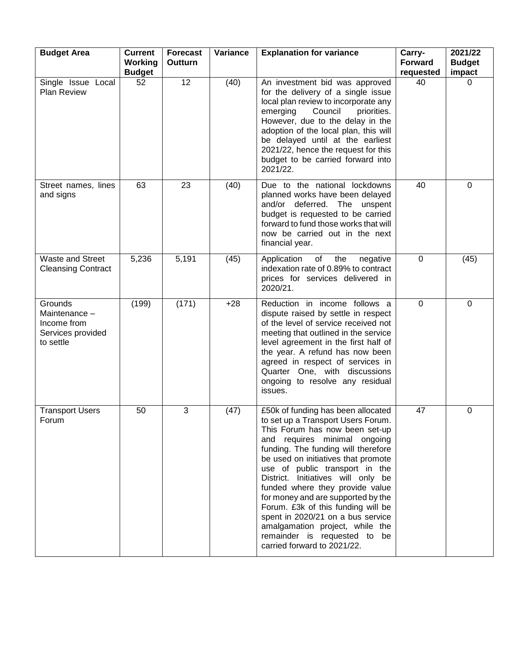| <b>Budget Area</b>                                                        | <b>Current</b><br>Working<br><b>Budget</b> | <b>Forecast</b><br><b>Outturn</b> | Variance | <b>Explanation for variance</b>                                                                                                                                                                                                                                                                                                                                                                                                                                                                                                                        | Carry-<br><b>Forward</b><br>requested | 2021/22<br><b>Budget</b><br>impact |
|---------------------------------------------------------------------------|--------------------------------------------|-----------------------------------|----------|--------------------------------------------------------------------------------------------------------------------------------------------------------------------------------------------------------------------------------------------------------------------------------------------------------------------------------------------------------------------------------------------------------------------------------------------------------------------------------------------------------------------------------------------------------|---------------------------------------|------------------------------------|
| Single Issue Local<br><b>Plan Review</b>                                  | 52                                         | 12                                | (40)     | An investment bid was approved<br>for the delivery of a single issue<br>local plan review to incorporate any<br>emerging<br>Council<br>priorities.<br>However, due to the delay in the<br>adoption of the local plan, this will<br>be delayed until at the earliest<br>2021/22, hence the request for this<br>budget to be carried forward into<br>2021/22.                                                                                                                                                                                            | 40                                    | 0                                  |
| Street names, lines<br>and signs                                          | 63                                         | 23                                | (40)     | Due to the national lockdowns<br>planned works have been delayed<br>and/or deferred. The unspent<br>budget is requested to be carried<br>forward to fund those works that will<br>now be carried out in the next<br>financial year.                                                                                                                                                                                                                                                                                                                    | 40                                    | $\mathbf 0$                        |
| Waste and Street<br><b>Cleansing Contract</b>                             | 5,236                                      | 5,191                             | (45)     | Application<br>of<br>the<br>negative<br>indexation rate of 0.89% to contract<br>prices for services delivered in<br>2020/21.                                                                                                                                                                                                                                                                                                                                                                                                                           | 0                                     | (45)                               |
| Grounds<br>Maintenance -<br>Income from<br>Services provided<br>to settle | (199)                                      | (171)                             | $+28$    | Reduction in income follows a<br>dispute raised by settle in respect<br>of the level of service received not<br>meeting that outlined in the service<br>level agreement in the first half of<br>the year. A refund has now been<br>agreed in respect of services in<br>Quarter One, with discussions<br>ongoing to resolve any residual<br>issues.                                                                                                                                                                                                     | $\mathbf 0$                           | $\mathbf 0$                        |
| <b>Transport Users</b><br>Forum                                           | 50                                         | 3                                 | (47)     | £50k of funding has been allocated<br>to set up a Transport Users Forum.<br>This Forum has now been set-up<br>and requires minimal ongoing<br>funding. The funding will therefore<br>be used on initiatives that promote<br>use of public transport in the<br>District. Initiatives will only be<br>funded where they provide value<br>for money and are supported by the<br>Forum. £3k of this funding will be<br>spent in 2020/21 on a bus service<br>amalgamation project, while the<br>remainder is requested to be<br>carried forward to 2021/22. | 47                                    | 0                                  |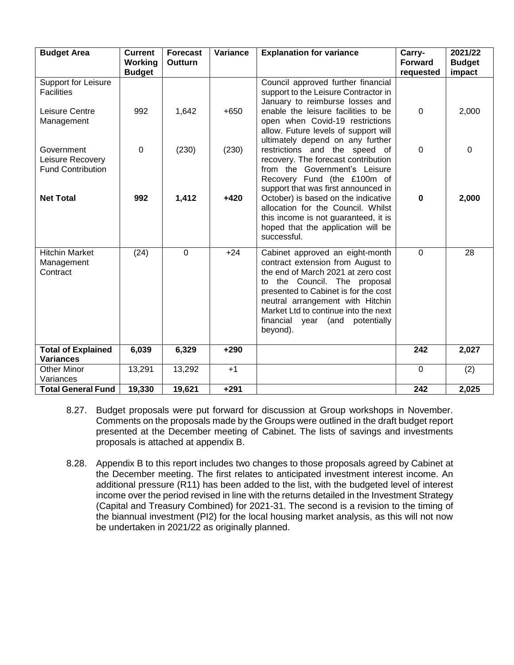| <b>Budget Area</b>                                         | <b>Current</b><br>Working | <b>Forecast</b><br>Outturn | Variance | <b>Explanation for variance</b>                                                                                                                                                                                                                                                                                  | Carry-<br><b>Forward</b> | 2021/22<br><b>Budget</b> |
|------------------------------------------------------------|---------------------------|----------------------------|----------|------------------------------------------------------------------------------------------------------------------------------------------------------------------------------------------------------------------------------------------------------------------------------------------------------------------|--------------------------|--------------------------|
|                                                            | <b>Budget</b>             |                            |          |                                                                                                                                                                                                                                                                                                                  | requested                | impact                   |
| Support for Leisure<br><b>Facilities</b>                   |                           |                            |          | Council approved further financial<br>support to the Leisure Contractor in<br>January to reimburse losses and                                                                                                                                                                                                    |                          |                          |
| Leisure Centre<br>Management                               | 992                       | 1,642                      | $+650$   | enable the leisure facilities to be<br>open when Covid-19 restrictions<br>allow. Future levels of support will<br>ultimately depend on any further                                                                                                                                                               | $\mathbf 0$              | 2,000                    |
| Government<br>Leisure Recovery<br><b>Fund Contribution</b> | 0                         | (230)                      | (230)    | restrictions and the speed of<br>recovery. The forecast contribution<br>from the Government's Leisure<br>Recovery Fund (the £100m of<br>support that was first announced in                                                                                                                                      | $\mathbf 0$              | $\mathbf 0$              |
| <b>Net Total</b>                                           | 992                       | 1,412                      | $+420$   | October) is based on the indicative<br>allocation for the Council. Whilst<br>this income is not guaranteed, it is<br>hoped that the application will be<br>successful.                                                                                                                                           | $\bf{0}$                 | 2,000                    |
| <b>Hitchin Market</b><br>Management<br>Contract            | (24)                      | $\overline{0}$             | $+24$    | Cabinet approved an eight-month<br>contract extension from August to<br>the end of March 2021 at zero cost<br>to the Council. The proposal<br>presented to Cabinet is for the cost<br>neutral arrangement with Hitchin<br>Market Ltd to continue into the next<br>financial year<br>(and potentially<br>beyond). | $\Omega$                 | 28                       |
| <b>Total of Explained</b><br><b>Variances</b>              | 6,039                     | 6,329                      | $+290$   |                                                                                                                                                                                                                                                                                                                  | 242                      | 2,027                    |
| <b>Other Minor</b><br>Variances                            | 13,291                    | 13,292                     | $+1$     |                                                                                                                                                                                                                                                                                                                  | $\mathbf 0$              | (2)                      |
| <b>Total General Fund</b>                                  | 19,330                    | 19,621                     | $+291$   |                                                                                                                                                                                                                                                                                                                  | 242                      | 2,025                    |

- 8.27. Budget proposals were put forward for discussion at Group workshops in November. Comments on the proposals made by the Groups were outlined in the draft budget report presented at the December meeting of Cabinet. The lists of savings and investments proposals is attached at appendix B.
- 8.28. Appendix B to this report includes two changes to those proposals agreed by Cabinet at the December meeting. The first relates to anticipated investment interest income. An additional pressure (R11) has been added to the list, with the budgeted level of interest income over the period revised in line with the returns detailed in the Investment Strategy (Capital and Treasury Combined) for 2021-31. The second is a revision to the timing of the biannual investment (PI2) for the local housing market analysis, as this will not now be undertaken in 2021/22 as originally planned.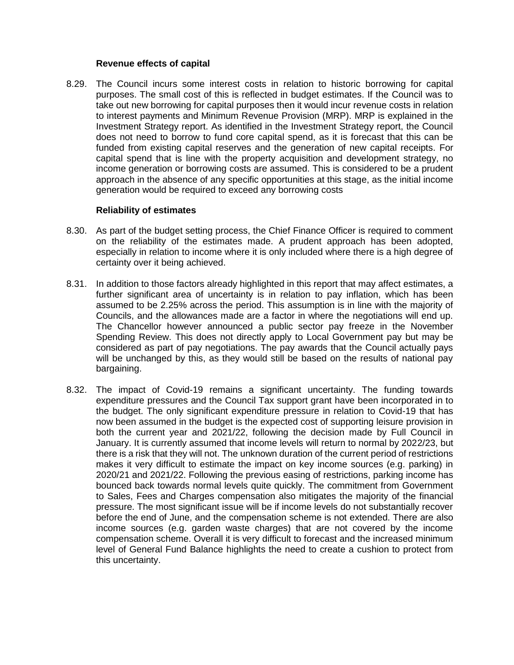#### **Revenue effects of capital**

8.29. The Council incurs some interest costs in relation to historic borrowing for capital purposes. The small cost of this is reflected in budget estimates. If the Council was to take out new borrowing for capital purposes then it would incur revenue costs in relation to interest payments and Minimum Revenue Provision (MRP). MRP is explained in the Investment Strategy report. As identified in the Investment Strategy report, the Council does not need to borrow to fund core capital spend, as it is forecast that this can be funded from existing capital reserves and the generation of new capital receipts. For capital spend that is line with the property acquisition and development strategy, no income generation or borrowing costs are assumed. This is considered to be a prudent approach in the absence of any specific opportunities at this stage, as the initial income generation would be required to exceed any borrowing costs

#### **Reliability of estimates**

- 8.30. As part of the budget setting process, the Chief Finance Officer is required to comment on the reliability of the estimates made. A prudent approach has been adopted, especially in relation to income where it is only included where there is a high degree of certainty over it being achieved.
- 8.31. In addition to those factors already highlighted in this report that may affect estimates, a further significant area of uncertainty is in relation to pay inflation, which has been assumed to be 2.25% across the period. This assumption is in line with the majority of Councils, and the allowances made are a factor in where the negotiations will end up. The Chancellor however announced a public sector pay freeze in the November Spending Review. This does not directly apply to Local Government pay but may be considered as part of pay negotiations. The pay awards that the Council actually pays will be unchanged by this, as they would still be based on the results of national pay bargaining.
- 8.32. The impact of Covid-19 remains a significant uncertainty. The funding towards expenditure pressures and the Council Tax support grant have been incorporated in to the budget. The only significant expenditure pressure in relation to Covid-19 that has now been assumed in the budget is the expected cost of supporting leisure provision in both the current year and 2021/22, following the decision made by Full Council in January. It is currently assumed that income levels will return to normal by 2022/23, but there is a risk that they will not. The unknown duration of the current period of restrictions makes it very difficult to estimate the impact on key income sources (e.g. parking) in 2020/21 and 2021/22. Following the previous easing of restrictions, parking income has bounced back towards normal levels quite quickly. The commitment from Government to Sales, Fees and Charges compensation also mitigates the majority of the financial pressure. The most significant issue will be if income levels do not substantially recover before the end of June, and the compensation scheme is not extended. There are also income sources (e.g. garden waste charges) that are not covered by the income compensation scheme. Overall it is very difficult to forecast and the increased minimum level of General Fund Balance highlights the need to create a cushion to protect from this uncertainty.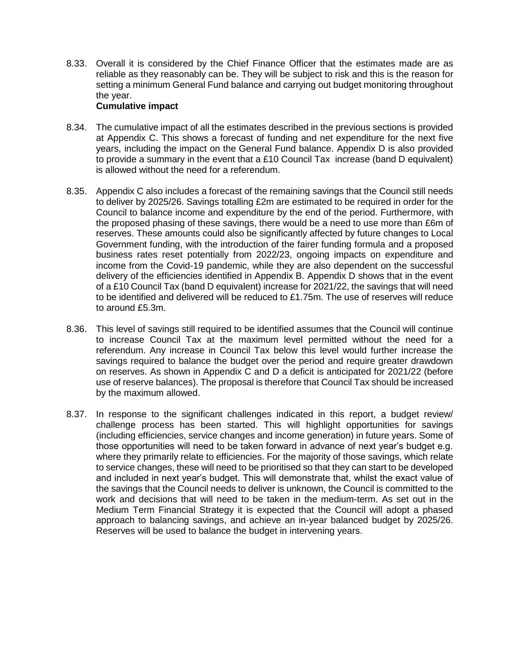8.33. Overall it is considered by the Chief Finance Officer that the estimates made are as reliable as they reasonably can be. They will be subject to risk and this is the reason for setting a minimum General Fund balance and carrying out budget monitoring throughout the year.

## **Cumulative impact**

- 8.34. The cumulative impact of all the estimates described in the previous sections is provided at Appendix C. This shows a forecast of funding and net expenditure for the next five years, including the impact on the General Fund balance. Appendix D is also provided to provide a summary in the event that a £10 Council Tax increase (band D equivalent) is allowed without the need for a referendum.
- 8.35. Appendix C also includes a forecast of the remaining savings that the Council still needs to deliver by 2025/26. Savings totalling £2m are estimated to be required in order for the Council to balance income and expenditure by the end of the period. Furthermore, with the proposed phasing of these savings, there would be a need to use more than £6m of reserves. These amounts could also be significantly affected by future changes to Local Government funding, with the introduction of the fairer funding formula and a proposed business rates reset potentially from 2022/23, ongoing impacts on expenditure and income from the Covid-19 pandemic, while they are also dependent on the successful delivery of the efficiencies identified in Appendix B. Appendix D shows that in the event of a £10 Council Tax (band D equivalent) increase for 2021/22, the savings that will need to be identified and delivered will be reduced to £1.75m. The use of reserves will reduce to around £5.3m.
- 8.36. This level of savings still required to be identified assumes that the Council will continue to increase Council Tax at the maximum level permitted without the need for a referendum. Any increase in Council Tax below this level would further increase the savings required to balance the budget over the period and require greater drawdown on reserves. As shown in Appendix C and D a deficit is anticipated for 2021/22 (before use of reserve balances). The proposal is therefore that Council Tax should be increased by the maximum allowed.
- 8.37. In response to the significant challenges indicated in this report, a budget review/ challenge process has been started. This will highlight opportunities for savings (including efficiencies, service changes and income generation) in future years. Some of those opportunities will need to be taken forward in advance of next year's budget e.g. where they primarily relate to efficiencies. For the majority of those savings, which relate to service changes, these will need to be prioritised so that they can start to be developed and included in next year's budget. This will demonstrate that, whilst the exact value of the savings that the Council needs to deliver is unknown, the Council is committed to the work and decisions that will need to be taken in the medium-term. As set out in the Medium Term Financial Strategy it is expected that the Council will adopt a phased approach to balancing savings, and achieve an in-year balanced budget by 2025/26. Reserves will be used to balance the budget in intervening years.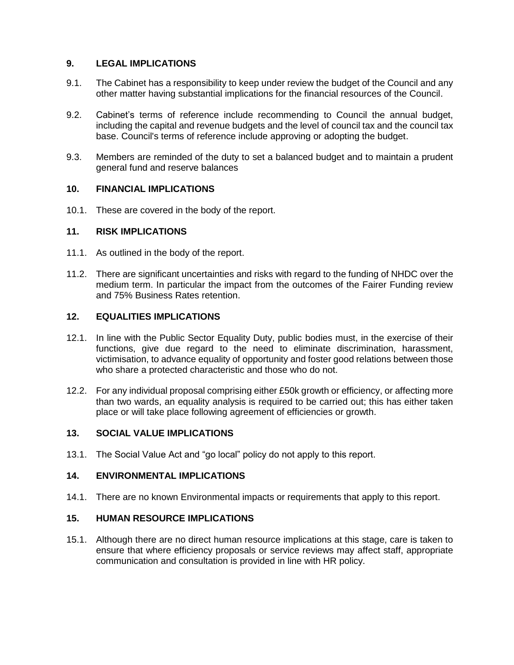# **9. LEGAL IMPLICATIONS**

- 9.1. The Cabinet has a responsibility to keep under review the budget of the Council and any other matter having substantial implications for the financial resources of the Council.
- 9.2. Cabinet's terms of reference include recommending to Council the annual budget, including the capital and revenue budgets and the level of council tax and the council tax base. Council's terms of reference include approving or adopting the budget.
- 9.3. Members are reminded of the duty to set a balanced budget and to maintain a prudent general fund and reserve balances

### **10. FINANCIAL IMPLICATIONS**

10.1. These are covered in the body of the report.

### **11. RISK IMPLICATIONS**

- 11.1. As outlined in the body of the report.
- 11.2. There are significant uncertainties and risks with regard to the funding of NHDC over the medium term. In particular the impact from the outcomes of the Fairer Funding review and 75% Business Rates retention.

### **12. EQUALITIES IMPLICATIONS**

- 12.1. In line with the Public Sector Equality Duty, public bodies must, in the exercise of their functions, give due regard to the need to eliminate discrimination, harassment, victimisation, to advance equality of opportunity and foster good relations between those who share a protected characteristic and those who do not.
- 12.2. For any individual proposal comprising either £50k growth or efficiency, or affecting more than two wards, an equality analysis is required to be carried out; this has either taken place or will take place following agreement of efficiencies or growth.

#### **13. SOCIAL VALUE IMPLICATIONS**

13.1. The Social Value Act and "go local" policy do not apply to this report.

# **14. ENVIRONMENTAL IMPLICATIONS**

14.1. There are no known Environmental impacts or requirements that apply to this report.

### **15. HUMAN RESOURCE IMPLICATIONS**

15.1. Although there are no direct human resource implications at this stage, care is taken to ensure that where efficiency proposals or service reviews may affect staff, appropriate communication and consultation is provided in line with HR policy.